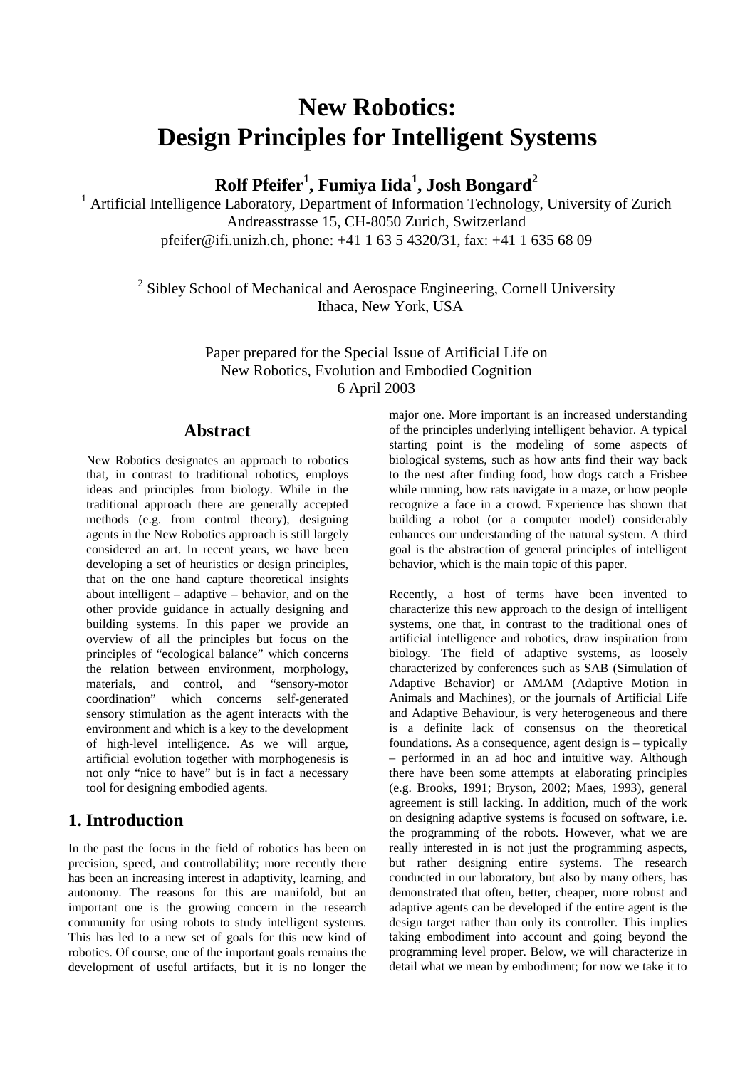# **New Robotics: Design Principles for Intelligent Systems**

**Rolf Pfeifer<sup>1</sup> , Fumiya Iida<sup>1</sup> , Josh Bongard<sup>2</sup>**

<sup>1</sup> Artificial Intelligence Laboratory, Department of Information Technology, University of Zurich Andreasstrasse 15, CH-8050 Zurich, Switzerland pfeifer@ifi.unizh.ch, phone: +41 1 63 5 4320/31, fax: +41 1 635 68 09

 $2$  Sibley School of Mechanical and Aerospace Engineering, Cornell University Ithaca, New York, USA

> Paper prepared for the Special Issue of Artificial Life on New Robotics, Evolution and Embodied Cognition 6 April 2003

### **Abstract**

New Robotics designates an approach to robotics that, in contrast to traditional robotics, employs ideas and principles from biology. While in the traditional approach there are generally accepted methods (e.g. from control theory), designing agents in the New Robotics approach is still largely considered an art. In recent years, we have been developing a set of heuristics or design principles, that on the one hand capture theoretical insights about intelligent – adaptive – behavior, and on the other provide guidance in actually designing and building systems. In this paper we provide an overview of all the principles but focus on the principles of "ecological balance" which concerns the relation between environment, morphology, materials, and control, and "sensory-motor coordination" which concerns self-generated sensory stimulation as the agent interacts with the environment and which is a key to the development of high-level intelligence. As we will argue, artificial evolution together with morphogenesis is not only "nice to have" but is in fact a necessary tool for designing embodied agents.

## **1. Introduction**

In the past the focus in the field of robotics has been on precision, speed, and controllability; more recently there has been an increasing interest in adaptivity, learning, and autonomy. The reasons for this are manifold, but an important one is the growing concern in the research community for using robots to study intelligent systems. This has led to a new set of goals for this new kind of robotics. Of course, one of the important goals remains the development of useful artifacts, but it is no longer the major one. More important is an increased understanding of the principles underlying intelligent behavior. A typical starting point is the modeling of some aspects of biological systems, such as how ants find their way back to the nest after finding food, how dogs catch a Frisbee while running, how rats navigate in a maze, or how people recognize a face in a crowd. Experience has shown that building a robot (or a computer model) considerably enhances our understanding of the natural system. A third goal is the abstraction of general principles of intelligent behavior, which is the main topic of this paper.

Recently, a host of terms have been invented to characterize this new approach to the design of intelligent systems, one that, in contrast to the traditional ones of artificial intelligence and robotics, draw inspiration from biology. The field of adaptive systems, as loosely characterized by conferences such as SAB (Simulation of Adaptive Behavior) or AMAM (Adaptive Motion in Animals and Machines), or the journals of Artificial Life and Adaptive Behaviour, is very heterogeneous and there is a definite lack of consensus on the theoretical foundations. As a consequence, agent design is – typically – performed in an ad hoc and intuitive way. Although there have been some attempts at elaborating principles (e.g. Brooks, 1991; Bryson, 2002; Maes, 1993), general agreement is still lacking. In addition, much of the work on designing adaptive systems is focused on software, i.e. the programming of the robots. However, what we are really interested in is not just the programming aspects, but rather designing entire systems. The research conducted in our laboratory, but also by many others, has demonstrated that often, better, cheaper, more robust and adaptive agents can be developed if the entire agent is the design target rather than only its controller. This implies taking embodiment into account and going beyond the programming level proper. Below, we will characterize in detail what we mean by embodiment; for now we take it to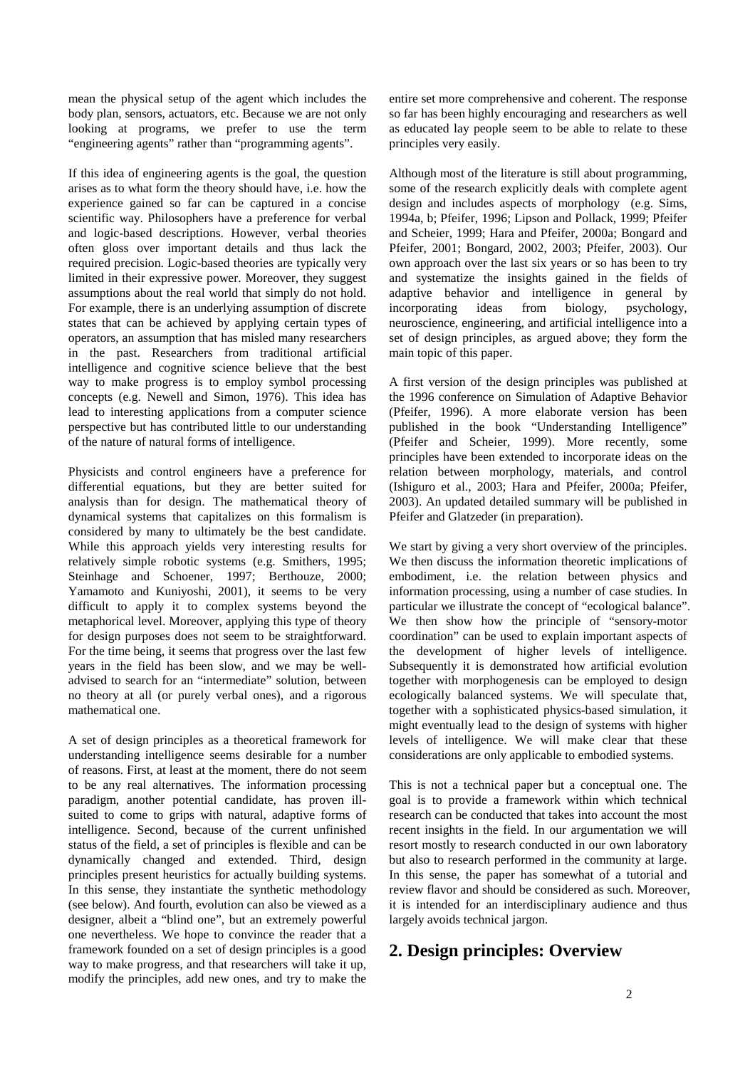mean the physical setup of the agent which includes the body plan, sensors, actuators, etc. Because we are not only looking at programs, we prefer to use the term "engineering agents" rather than "programming agents".

If this idea of engineering agents is the goal, the question arises as to what form the theory should have, i.e. how the experience gained so far can be captured in a concise scientific way. Philosophers have a preference for verbal and logic-based descriptions. However, verbal theories often gloss over important details and thus lack the required precision. Logic-based theories are typically very limited in their expressive power. Moreover, they suggest assumptions about the real world that simply do not hold. For example, there is an underlying assumption of discrete states that can be achieved by applying certain types of operators, an assumption that has misled many researchers in the past. Researchers from traditional artificial intelligence and cognitive science believe that the best way to make progress is to employ symbol processing concepts (e.g. Newell and Simon, 1976). This idea has lead to interesting applications from a computer science perspective but has contributed little to our understanding of the nature of natural forms of intelligence.

Physicists and control engineers have a preference for differential equations, but they are better suited for analysis than for design. The mathematical theory of dynamical systems that capitalizes on this formalism is considered by many to ultimately be the best candidate. While this approach yields very interesting results for relatively simple robotic systems (e.g. Smithers, 1995; Steinhage and Schoener, 1997; Berthouze, 2000; Yamamoto and Kuniyoshi, 2001), it seems to be very difficult to apply it to complex systems beyond the metaphorical level. Moreover, applying this type of theory for design purposes does not seem to be straightforward. For the time being, it seems that progress over the last few years in the field has been slow, and we may be welladvised to search for an "intermediate" solution, between no theory at all (or purely verbal ones), and a rigorous mathematical one.

A set of design principles as a theoretical framework for understanding intelligence seems desirable for a number of reasons. First, at least at the moment, there do not seem to be any real alternatives. The information processing paradigm, another potential candidate, has proven illsuited to come to grips with natural, adaptive forms of intelligence. Second, because of the current unfinished status of the field, a set of principles is flexible and can be dynamically changed and extended. Third, design principles present heuristics for actually building systems. In this sense, they instantiate the synthetic methodology (see below). And fourth, evolution can also be viewed as a designer, albeit a "blind one", but an extremely powerful one nevertheless. We hope to convince the reader that a framework founded on a set of design principles is a good way to make progress, and that researchers will take it up, modify the principles, add new ones, and try to make the

entire set more comprehensive and coherent. The response so far has been highly encouraging and researchers as well as educated lay people seem to be able to relate to these principles very easily.

Although most of the literature is still about programming, some of the research explicitly deals with complete agent design and includes aspects of morphology (e.g. Sims, 1994a, b; Pfeifer, 1996; Lipson and Pollack, 1999; Pfeifer and Scheier, 1999; Hara and Pfeifer, 2000a; Bongard and Pfeifer, 2001; Bongard, 2002, 2003; Pfeifer, 2003). Our own approach over the last six years or so has been to try and systematize the insights gained in the fields of adaptive behavior and intelligence in general by incorporating ideas from biology, psychology, neuroscience, engineering, and artificial intelligence into a set of design principles, as argued above; they form the main topic of this paper.

A first version of the design principles was published at the 1996 conference on Simulation of Adaptive Behavior (Pfeifer, 1996). A more elaborate version has been published in the book "Understanding Intelligence" (Pfeifer and Scheier, 1999). More recently, some principles have been extended to incorporate ideas on the relation between morphology, materials, and control (Ishiguro et al., 2003; Hara and Pfeifer, 2000a; Pfeifer, 2003). An updated detailed summary will be published in Pfeifer and Glatzeder (in preparation).

We start by giving a very short overview of the principles. We then discuss the information theoretic implications of embodiment, i.e. the relation between physics and information processing, using a number of case studies. In particular we illustrate the concept of "ecological balance". We then show how the principle of "sensory-motor coordination" can be used to explain important aspects of the development of higher levels of intelligence. Subsequently it is demonstrated how artificial evolution together with morphogenesis can be employed to design ecologically balanced systems. We will speculate that, together with a sophisticated physics-based simulation, it might eventually lead to the design of systems with higher levels of intelligence. We will make clear that these considerations are only applicable to embodied systems.

This is not a technical paper but a conceptual one. The goal is to provide a framework within which technical research can be conducted that takes into account the most recent insights in the field. In our argumentation we will resort mostly to research conducted in our own laboratory but also to research performed in the community at large. In this sense, the paper has somewhat of a tutorial and review flavor and should be considered as such. Moreover, it is intended for an interdisciplinary audience and thus largely avoids technical jargon.

## **2. Design principles: Overview**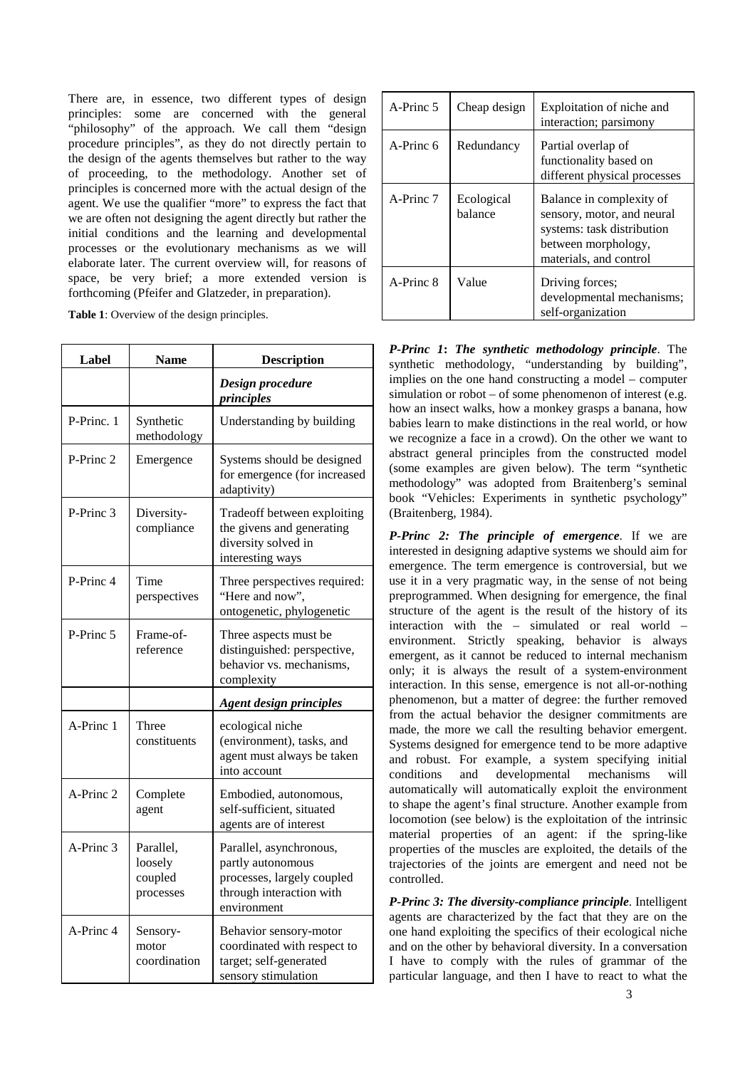There are, in essence, two different types of design principles: some are concerned with the general "philosophy" of the approach. We call them "design procedure principles", as they do not directly pertain to the design of the agents themselves but rather to the way of proceeding, to the methodology. Another set of principles is concerned more with the actual design of the agent. We use the qualifier "more" to express the fact that we are often not designing the agent directly but rather the initial conditions and the learning and developmental processes or the evolutionary mechanisms as we will elaborate later. The current overview will, for reasons of space, be very brief; a more extended version is forthcoming (Pfeifer and Glatzeder, in preparation).

**Table 1**: Overview of the design principles.

| Label      | <b>Name</b>                                  | <b>Description</b>                                                                                                    |
|------------|----------------------------------------------|-----------------------------------------------------------------------------------------------------------------------|
|            |                                              | Design procedure<br>principles                                                                                        |
| P-Princ. 1 | Synthetic<br>methodology                     | Understanding by building                                                                                             |
| P-Princ 2  | Emergence                                    | Systems should be designed<br>for emergence (for increased<br>adaptivity)                                             |
| P-Princ 3  | Diversity-<br>compliance                     | Tradeoff between exploiting<br>the givens and generating<br>diversity solved in<br>interesting ways                   |
| P-Princ 4  | Time<br>perspectives                         | Three perspectives required:<br>"Here and now".<br>ontogenetic, phylogenetic                                          |
| P-Princ 5  | Frame-of-<br>reference                       | Three aspects must be<br>distinguished: perspective,<br>behavior vs. mechanisms,<br>complexity                        |
|            |                                              | <b>Agent design principles</b>                                                                                        |
| A-Princ 1  | Three<br>constituents                        | ecological niche<br>(environment), tasks, and<br>agent must always be taken<br>into account                           |
| A-Princ 2  | Complete<br>agent                            | Embodied, autonomous,<br>self-sufficient, situated<br>agents are of interest                                          |
| A-Princ 3  | Parallel,<br>loosely<br>coupled<br>processes | Parallel, asynchronous,<br>partly autonomous<br>processes, largely coupled<br>through interaction with<br>environment |
| A-Princ 4  | Sensory-<br>motor<br>coordination            | Behavior sensory-motor<br>coordinated with respect to<br>target; self-generated<br>sensory stimulation                |

| A-Princ 5 | Cheap design          | Exploitation of niche and<br>interaction; parsimony                                                                                   |
|-----------|-----------------------|---------------------------------------------------------------------------------------------------------------------------------------|
| A-Princ 6 | Redundancy            | Partial overlap of<br>functionality based on<br>different physical processes                                                          |
| A-Princ 7 | Ecological<br>balance | Balance in complexity of<br>sensory, motor, and neural<br>systems: task distribution<br>between morphology,<br>materials, and control |
| A-Princ 8 | Value                 | Driving forces;<br>developmental mechanisms;<br>self-organization                                                                     |

*P-Princ 1***:** *The synthetic methodology principle*. The synthetic methodology, "understanding by building", implies on the one hand constructing a model – computer simulation or robot – of some phenomenon of interest (e.g. how an insect walks, how a monkey grasps a banana, how babies learn to make distinctions in the real world, or how we recognize a face in a crowd). On the other we want to abstract general principles from the constructed model (some examples are given below). The term "synthetic methodology" was adopted from Braitenberg's seminal book "Vehicles: Experiments in synthetic psychology" (Braitenberg, 1984).

*P-Princ 2: The principle of emergence*. If we are interested in designing adaptive systems we should aim for emergence. The term emergence is controversial, but we use it in a very pragmatic way, in the sense of not being preprogrammed. When designing for emergence, the final structure of the agent is the result of the history of its interaction with the – simulated or real world – environment. Strictly speaking, behavior is always emergent, as it cannot be reduced to internal mechanism only; it is always the result of a system-environment interaction. In this sense, emergence is not all-or-nothing phenomenon, but a matter of degree: the further removed from the actual behavior the designer commitments are made, the more we call the resulting behavior emergent. Systems designed for emergence tend to be more adaptive and robust. For example, a system specifying initial conditions and developmental mechanisms will automatically will automatically exploit the environment to shape the agent's final structure. Another example from locomotion (see below) is the exploitation of the intrinsic material properties of an agent: if the spring-like properties of the muscles are exploited, the details of the trajectories of the joints are emergent and need not be controlled.

*P-Princ 3: The diversity-compliance principle*. Intelligent agents are characterized by the fact that they are on the one hand exploiting the specifics of their ecological niche and on the other by behavioral diversity. In a conversation I have to comply with the rules of grammar of the particular language, and then I have to react to what the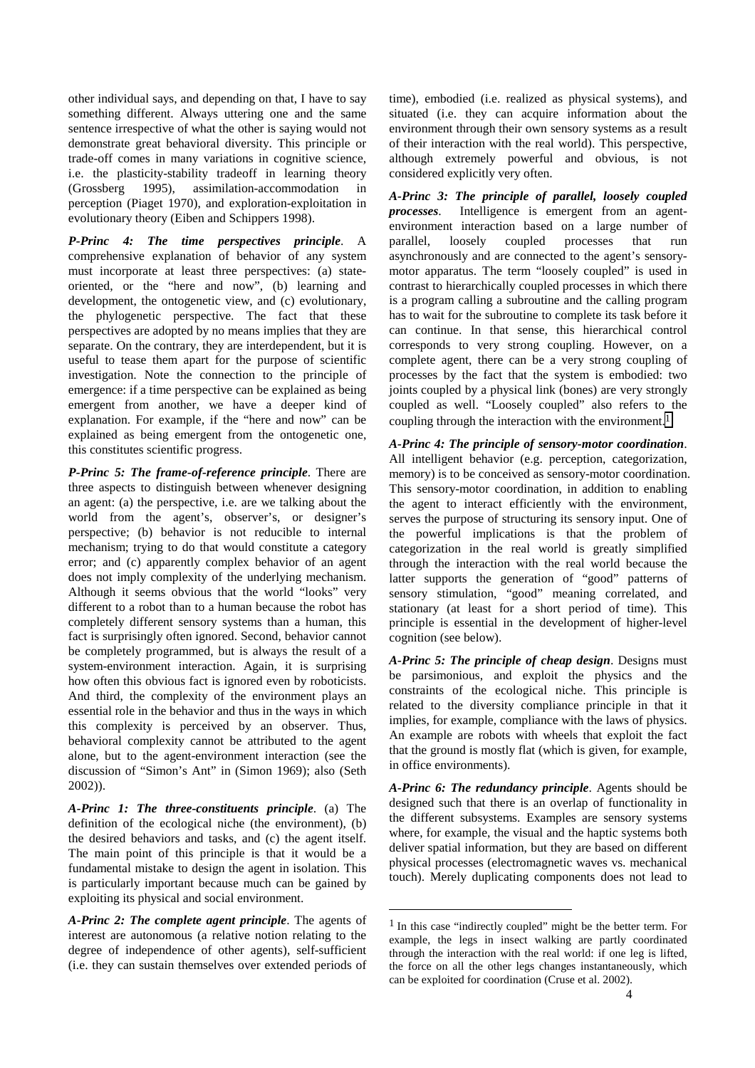other individual says, and depending on that, I have to say something different. Always uttering one and the same sentence irrespective of what the other is saying would not demonstrate great behavioral diversity. This principle or trade-off comes in many variations in cognitive science, i.e. the plasticity-stability tradeoff in learning theory (Grossberg 1995), assimilation-accommodation in perception (Piaget 1970), and exploration-exploitation in evolutionary theory (Eiben and Schippers 1998).

*P-Princ 4: The time perspectives principle*. A comprehensive explanation of behavior of any system must incorporate at least three perspectives: (a) stateoriented, or the "here and now", (b) learning and development, the ontogenetic view, and (c) evolutionary, the phylogenetic perspective. The fact that these perspectives are adopted by no means implies that they are separate. On the contrary, they are interdependent, but it is useful to tease them apart for the purpose of scientific investigation. Note the connection to the principle of emergence: if a time perspective can be explained as being emergent from another, we have a deeper kind of explanation. For example, if the "here and now" can be explained as being emergent from the ontogenetic one, this constitutes scientific progress.

*P-Princ 5: The frame-of-reference principle*. There are three aspects to distinguish between whenever designing an agent: (a) the perspective, i.e. are we talking about the world from the agent's, observer's, or designer's perspective; (b) behavior is not reducible to internal mechanism; trying to do that would constitute a category error; and (c) apparently complex behavior of an agent does not imply complexity of the underlying mechanism. Although it seems obvious that the world "looks" very different to a robot than to a human because the robot has completely different sensory systems than a human, this fact is surprisingly often ignored. Second, behavior cannot be completely programmed, but is always the result of a system-environment interaction. Again, it is surprising how often this obvious fact is ignored even by roboticists. And third, the complexity of the environment plays an essential role in the behavior and thus in the ways in which this complexity is perceived by an observer. Thus, behavioral complexity cannot be attributed to the agent alone, but to the agent-environment interaction (see the discussion of "Simon's Ant" in (Simon 1969); also (Seth 2002)).

*A-Princ 1: The three-constituents principle*. (a) The definition of the ecological niche (the environment), (b) the desired behaviors and tasks, and (c) the agent itself. The main point of this principle is that it would be a fundamental mistake to design the agent in isolation. This is particularly important because much can be gained by exploiting its physical and social environment.

*A-Princ 2: The complete agent principle*. The agents of interest are autonomous (a relative notion relating to the degree of independence of other agents), self-sufficient (i.e. they can sustain themselves over extended periods of

time), embodied (i.e. realized as physical systems), and situated (i.e. they can acquire information about the environment through their own sensory systems as a result of their interaction with the real world). This perspective, although extremely powerful and obvious, is not considered explicitly very often.

*A-Princ 3: The principle of parallel, loosely coupled processes*. Intelligence is emergent from an agentenvironment interaction based on a large number of parallel, loosely coupled processes that run asynchronously and are connected to the agent's sensorymotor apparatus. The term "loosely coupled" is used in contrast to hierarchically coupled processes in which there is a program calling a subroutine and the calling program has to wait for the subroutine to complete its task before it can continue. In that sense, this hierarchical control corresponds to very strong coupling. However, on a complete agent, there can be a very strong coupling of processes by the fact that the system is embodied: two joints coupled by a physical link (bones) are very strongly coupled as well. "Loosely coupled" also refers to the coupling through the interaction with the environment.<sup>1</sup>

*A-Princ 4: The principle of sensory-motor coordination*. All intelligent behavior (e.g. perception, categorization, memory) is to be conceived as sensory-motor coordination. This sensory-motor coordination, in addition to enabling the agent to interact efficiently with the environment, serves the purpose of structuring its sensory input. One of the powerful implications is that the problem of categorization in the real world is greatly simplified through the interaction with the real world because the latter supports the generation of "good" patterns of sensory stimulation, "good" meaning correlated, and stationary (at least for a short period of time). This principle is essential in the development of higher-level cognition (see below).

*A-Princ 5: The principle of cheap design*. Designs must be parsimonious, and exploit the physics and the constraints of the ecological niche. This principle is related to the diversity compliance principle in that it implies, for example, compliance with the laws of physics. An example are robots with wheels that exploit the fact that the ground is mostly flat (which is given, for example, in office environments).

*A-Princ 6: The redundancy principle*. Agents should be designed such that there is an overlap of functionality in the different subsystems. Examples are sensory systems where, for example, the visual and the haptic systems both deliver spatial information, but they are based on different physical processes (electromagnetic waves vs. mechanical touch). Merely duplicating components does not lead to

 $\overline{a}$ 

 $<sup>1</sup>$  In this case "indirectly coupled" might be the better term. For</sup> example, the legs in insect walking are partly coordinated through the interaction with the real world: if one leg is lifted, the force on all the other legs changes instantaneously, which can be exploited for coordination (Cruse et al. 2002).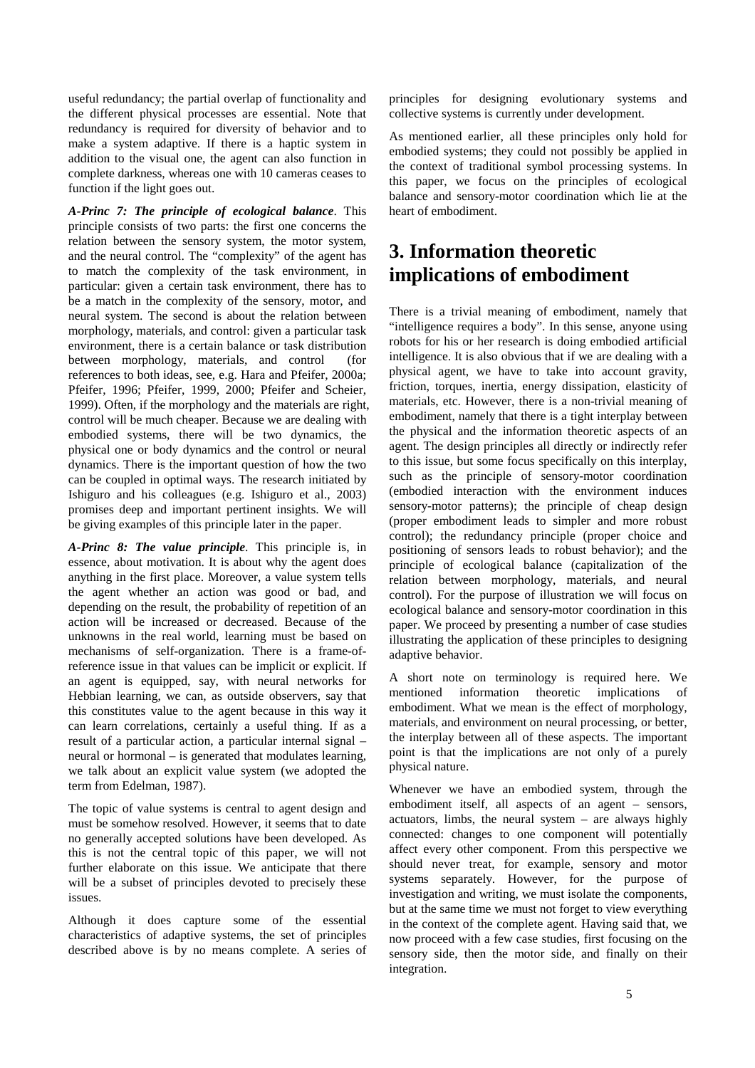useful redundancy; the partial overlap of functionality and the different physical processes are essential. Note that redundancy is required for diversity of behavior and to make a system adaptive. If there is a haptic system in addition to the visual one, the agent can also function in complete darkness, whereas one with 10 cameras ceases to function if the light goes out.

*A-Princ 7: The principle of ecological balance*. This principle consists of two parts: the first one concerns the relation between the sensory system, the motor system, and the neural control. The "complexity" of the agent has to match the complexity of the task environment, in particular: given a certain task environment, there has to be a match in the complexity of the sensory, motor, and neural system. The second is about the relation between morphology, materials, and control: given a particular task environment, there is a certain balance or task distribution between morphology, materials, and control (for references to both ideas, see, e.g. Hara and Pfeifer, 2000a; Pfeifer, 1996; Pfeifer, 1999, 2000; Pfeifer and Scheier, 1999). Often, if the morphology and the materials are right, control will be much cheaper. Because we are dealing with embodied systems, there will be two dynamics, the physical one or body dynamics and the control or neural dynamics. There is the important question of how the two can be coupled in optimal ways. The research initiated by Ishiguro and his colleagues (e.g. Ishiguro et al., 2003) promises deep and important pertinent insights. We will be giving examples of this principle later in the paper.

*A-Princ 8: The value principle*. This principle is, in essence, about motivation. It is about why the agent does anything in the first place. Moreover, a value system tells the agent whether an action was good or bad, and depending on the result, the probability of repetition of an action will be increased or decreased. Because of the unknowns in the real world, learning must be based on mechanisms of self-organization. There is a frame-ofreference issue in that values can be implicit or explicit. If an agent is equipped, say, with neural networks for Hebbian learning, we can, as outside observers, say that this constitutes value to the agent because in this way it can learn correlations, certainly a useful thing. If as a result of a particular action, a particular internal signal – neural or hormonal – is generated that modulates learning, we talk about an explicit value system (we adopted the term from Edelman, 1987).

The topic of value systems is central to agent design and must be somehow resolved. However, it seems that to date no generally accepted solutions have been developed. As this is not the central topic of this paper, we will not further elaborate on this issue. We anticipate that there will be a subset of principles devoted to precisely these issues.

Although it does capture some of the essential characteristics of adaptive systems, the set of principles described above is by no means complete. A series of principles for designing evolutionary systems and collective systems is currently under development.

As mentioned earlier, all these principles only hold for embodied systems; they could not possibly be applied in the context of traditional symbol processing systems. In this paper, we focus on the principles of ecological balance and sensory-motor coordination which lie at the heart of embodiment.

## **3. Information theoretic implications of embodiment**

There is a trivial meaning of embodiment, namely that "intelligence requires a body". In this sense, anyone using robots for his or her research is doing embodied artificial intelligence. It is also obvious that if we are dealing with a physical agent, we have to take into account gravity, friction, torques, inertia, energy dissipation, elasticity of materials, etc. However, there is a non-trivial meaning of embodiment, namely that there is a tight interplay between the physical and the information theoretic aspects of an agent. The design principles all directly or indirectly refer to this issue, but some focus specifically on this interplay, such as the principle of sensory-motor coordination (embodied interaction with the environment induces sensory-motor patterns); the principle of cheap design (proper embodiment leads to simpler and more robust control); the redundancy principle (proper choice and positioning of sensors leads to robust behavior); and the principle of ecological balance (capitalization of the relation between morphology, materials, and neural control). For the purpose of illustration we will focus on ecological balance and sensory-motor coordination in this paper. We proceed by presenting a number of case studies illustrating the application of these principles to designing adaptive behavior.

A short note on terminology is required here. We mentioned information theoretic implications of embodiment. What we mean is the effect of morphology, materials, and environment on neural processing, or better, the interplay between all of these aspects. The important point is that the implications are not only of a purely physical nature.

Whenever we have an embodied system, through the embodiment itself, all aspects of an agent – sensors, actuators, limbs, the neural system – are always highly connected: changes to one component will potentially affect every other component. From this perspective we should never treat, for example, sensory and motor systems separately. However, for the purpose of investigation and writing, we must isolate the components, but at the same time we must not forget to view everything in the context of the complete agent. Having said that, we now proceed with a few case studies, first focusing on the sensory side, then the motor side, and finally on their integration.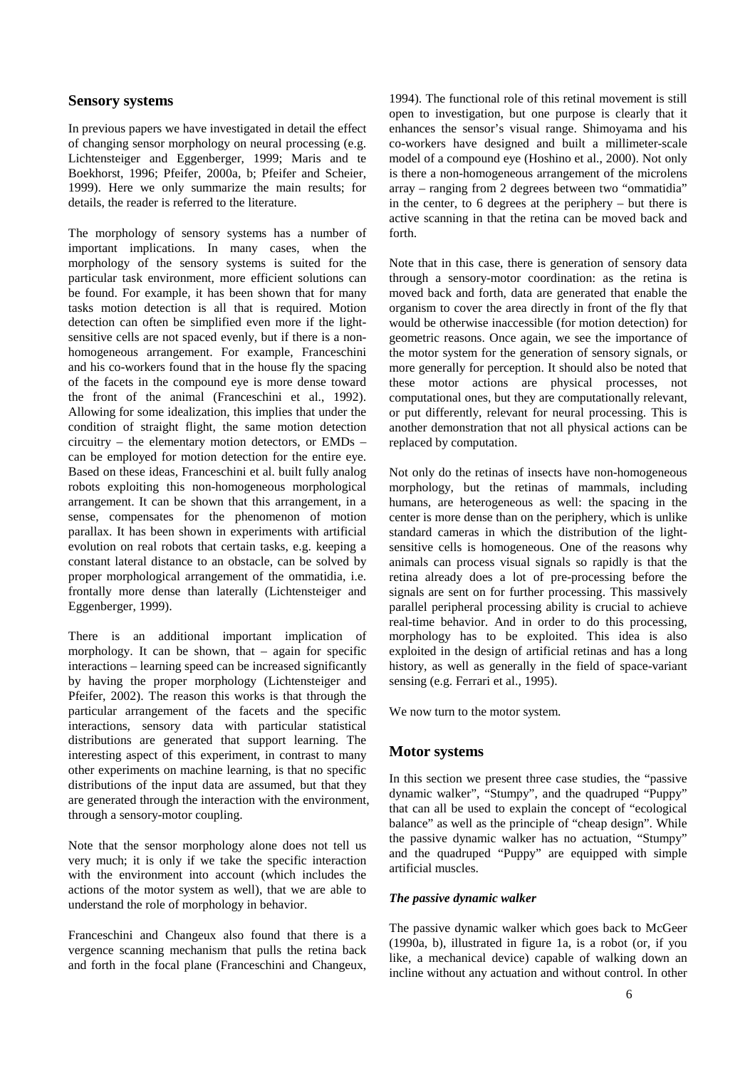#### **Sensory systems**

In previous papers we have investigated in detail the effect of changing sensor morphology on neural processing (e.g. Lichtensteiger and Eggenberger, 1999; Maris and te Boekhorst, 1996; Pfeifer, 2000a, b; Pfeifer and Scheier, 1999). Here we only summarize the main results; for details, the reader is referred to the literature.

The morphology of sensory systems has a number of important implications. In many cases, when the morphology of the sensory systems is suited for the particular task environment, more efficient solutions can be found. For example, it has been shown that for many tasks motion detection is all that is required. Motion detection can often be simplified even more if the lightsensitive cells are not spaced evenly, but if there is a nonhomogeneous arrangement. For example, Franceschini and his co-workers found that in the house fly the spacing of the facets in the compound eye is more dense toward the front of the animal (Franceschini et al., 1992). Allowing for some idealization, this implies that under the condition of straight flight, the same motion detection circuitry – the elementary motion detectors, or EMDs – can be employed for motion detection for the entire eye. Based on these ideas, Franceschini et al. built fully analog robots exploiting this non-homogeneous morphological arrangement. It can be shown that this arrangement, in a sense, compensates for the phenomenon of motion parallax. It has been shown in experiments with artificial evolution on real robots that certain tasks, e.g. keeping a constant lateral distance to an obstacle, can be solved by proper morphological arrangement of the ommatidia, i.e. frontally more dense than laterally (Lichtensteiger and Eggenberger, 1999).

There is an additional important implication of morphology. It can be shown, that – again for specific interactions – learning speed can be increased significantly by having the proper morphology (Lichtensteiger and Pfeifer, 2002). The reason this works is that through the particular arrangement of the facets and the specific interactions, sensory data with particular statistical distributions are generated that support learning. The interesting aspect of this experiment, in contrast to many other experiments on machine learning, is that no specific distributions of the input data are assumed, but that they are generated through the interaction with the environment, through a sensory-motor coupling.

Note that the sensor morphology alone does not tell us very much; it is only if we take the specific interaction with the environment into account (which includes the actions of the motor system as well), that we are able to understand the role of morphology in behavior.

Franceschini and Changeux also found that there is a vergence scanning mechanism that pulls the retina back and forth in the focal plane (Franceschini and Changeux,

1994). The functional role of this retinal movement is still open to investigation, but one purpose is clearly that it enhances the sensor's visual range. Shimoyama and his co-workers have designed and built a millimeter-scale model of a compound eye (Hoshino et al., 2000). Not only is there a non-homogeneous arrangement of the microlens array – ranging from 2 degrees between two "ommatidia" in the center, to 6 degrees at the periphery – but there is active scanning in that the retina can be moved back and forth.

Note that in this case, there is generation of sensory data through a sensory-motor coordination: as the retina is moved back and forth, data are generated that enable the organism to cover the area directly in front of the fly that would be otherwise inaccessible (for motion detection) for geometric reasons. Once again, we see the importance of the motor system for the generation of sensory signals, or more generally for perception. It should also be noted that these motor actions are physical processes, not computational ones, but they are computationally relevant, or put differently, relevant for neural processing. This is another demonstration that not all physical actions can be replaced by computation.

Not only do the retinas of insects have non-homogeneous morphology, but the retinas of mammals, including humans, are heterogeneous as well: the spacing in the center is more dense than on the periphery, which is unlike standard cameras in which the distribution of the lightsensitive cells is homogeneous. One of the reasons why animals can process visual signals so rapidly is that the retina already does a lot of pre-processing before the signals are sent on for further processing. This massively parallel peripheral processing ability is crucial to achieve real-time behavior. And in order to do this processing, morphology has to be exploited. This idea is also exploited in the design of artificial retinas and has a long history, as well as generally in the field of space-variant sensing (e.g. Ferrari et al., 1995).

We now turn to the motor system.

#### **Motor systems**

In this section we present three case studies, the "passive dynamic walker", "Stumpy", and the quadruped "Puppy" that can all be used to explain the concept of "ecological balance" as well as the principle of "cheap design". While the passive dynamic walker has no actuation, "Stumpy" and the quadruped "Puppy" are equipped with simple artificial muscles.

#### *The passive dynamic walker*

The passive dynamic walker which goes back to McGeer (1990a, b), illustrated in figure 1a, is a robot (or, if you like, a mechanical device) capable of walking down an incline without any actuation and without control. In other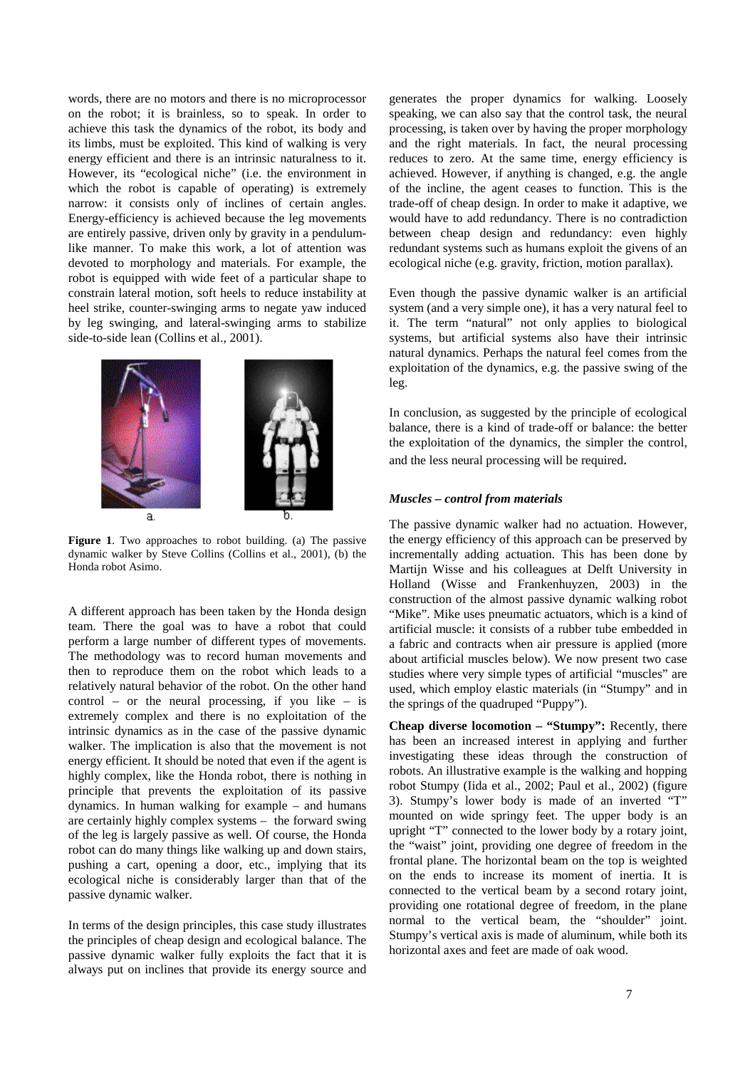words, there are no motors and there is no microprocessor on the robot; it is brainless, so to speak. In order to achieve this task the dynamics of the robot, its body and its limbs, must be exploited. This kind of walking is very energy efficient and there is an intrinsic naturalness to it. However, its "ecological niche" (i.e. the environment in which the robot is capable of operating) is extremely narrow: it consists only of inclines of certain angles. Energy-efficiency is achieved because the leg movements are entirely passive, driven only by gravity in a pendulumlike manner. To make this work, a lot of attention was devoted to morphology and materials. For example, the robot is equipped with wide feet of a particular shape to constrain lateral motion, soft heels to reduce instability at heel strike, counter-swinging arms to negate yaw induced by leg swinging, and lateral-swinging arms to stabilize side-to-side lean (Collins et al., 2001).



**Figure 1**. Two approaches to robot building. (a) The passive dynamic walker by Steve Collins (Collins et al., 2001), (b) the Honda robot Asimo.

A different approach has been taken by the Honda design team. There the goal was to have a robot that could perform a large number of different types of movements. The methodology was to record human movements and then to reproduce them on the robot which leads to a relatively natural behavior of the robot. On the other hand control – or the neural processing, if you like – is extremely complex and there is no exploitation of the intrinsic dynamics as in the case of the passive dynamic walker. The implication is also that the movement is not energy efficient. It should be noted that even if the agent is highly complex, like the Honda robot, there is nothing in principle that prevents the exploitation of its passive dynamics. In human walking for example – and humans are certainly highly complex systems – the forward swing of the leg is largely passive as well. Of course, the Honda robot can do many things like walking up and down stairs, pushing a cart, opening a door, etc., implying that its ecological niche is considerably larger than that of the passive dynamic walker.

In terms of the design principles, this case study illustrates the principles of cheap design and ecological balance. The passive dynamic walker fully exploits the fact that it is always put on inclines that provide its energy source and

generates the proper dynamics for walking. Loosely speaking, we can also say that the control task, the neural processing, is taken over by having the proper morphology and the right materials. In fact, the neural processing reduces to zero. At the same time, energy efficiency is achieved. However, if anything is changed, e.g. the angle of the incline, the agent ceases to function. This is the trade-off of cheap design. In order to make it adaptive, we would have to add redundancy. There is no contradiction between cheap design and redundancy: even highly redundant systems such as humans exploit the givens of an ecological niche (e.g. gravity, friction, motion parallax).

Even though the passive dynamic walker is an artificial system (and a very simple one), it has a very natural feel to it. The term "natural" not only applies to biological systems, but artificial systems also have their intrinsic natural dynamics. Perhaps the natural feel comes from the exploitation of the dynamics, e.g. the passive swing of the leg.

In conclusion, as suggested by the principle of ecological balance, there is a kind of trade-off or balance: the better the exploitation of the dynamics, the simpler the control, and the less neural processing will be required.

#### *Muscles – control from materials*

The passive dynamic walker had no actuation. However, the energy efficiency of this approach can be preserved by incrementally adding actuation. This has been done by Martijn Wisse and his colleagues at Delft University in Holland (Wisse and Frankenhuyzen, 2003) in the construction of the almost passive dynamic walking robot "Mike". Mike uses pneumatic actuators, which is a kind of artificial muscle: it consists of a rubber tube embedded in a fabric and contracts when air pressure is applied (more about artificial muscles below). We now present two case studies where very simple types of artificial "muscles" are used, which employ elastic materials (in "Stumpy" and in the springs of the quadruped "Puppy").

**Cheap diverse locomotion – "Stumpy":** Recently, there has been an increased interest in applying and further investigating these ideas through the construction of robots. An illustrative example is the walking and hopping robot Stumpy (Iida et al., 2002; Paul et al., 2002) (figure 3). Stumpy's lower body is made of an inverted "T" mounted on wide springy feet. The upper body is an upright "T" connected to the lower body by a rotary joint, the "waist" joint, providing one degree of freedom in the frontal plane. The horizontal beam on the top is weighted on the ends to increase its moment of inertia. It is connected to the vertical beam by a second rotary joint, providing one rotational degree of freedom, in the plane normal to the vertical beam, the "shoulder" joint. Stumpy's vertical axis is made of aluminum, while both its horizontal axes and feet are made of oak wood.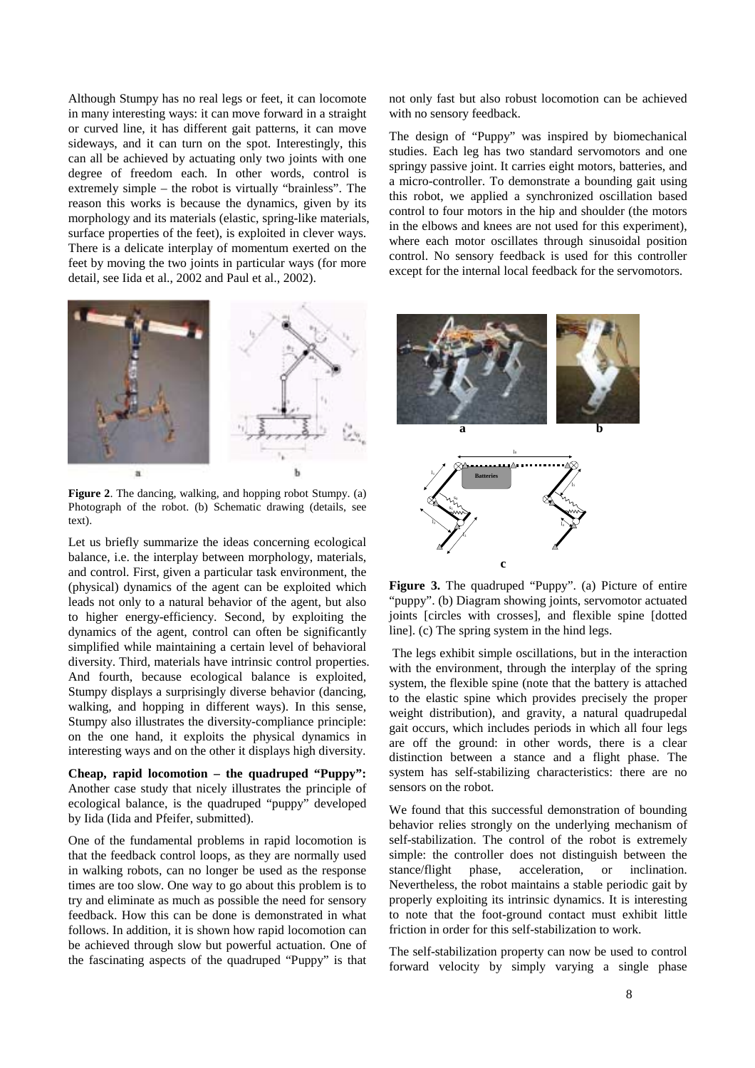Although Stumpy has no real legs or feet, it can locomote in many interesting ways: it can move forward in a straight or curved line, it has different gait patterns, it can move sideways, and it can turn on the spot. Interestingly, this can all be achieved by actuating only two joints with one degree of freedom each. In other words, control is extremely simple – the robot is virtually "brainless". The reason this works is because the dynamics, given by its morphology and its materials (elastic, spring-like materials, surface properties of the feet), is exploited in clever ways. There is a delicate interplay of momentum exerted on the feet by moving the two joints in particular ways (for more detail, see Iida et al., 2002 and Paul et al., 2002).



**Figure 2**. The dancing, walking, and hopping robot Stumpy. (a) Photograph of the robot. (b) Schematic drawing (details, see text).

Let us briefly summarize the ideas concerning ecological balance, i.e. the interplay between morphology, materials, and control. First, given a particular task environment, the (physical) dynamics of the agent can be exploited which leads not only to a natural behavior of the agent, but also to higher energy-efficiency. Second, by exploiting the dynamics of the agent, control can often be significantly simplified while maintaining a certain level of behavioral diversity. Third, materials have intrinsic control properties. And fourth, because ecological balance is exploited, Stumpy displays a surprisingly diverse behavior (dancing, walking, and hopping in different ways). In this sense, Stumpy also illustrates the diversity-compliance principle: on the one hand, it exploits the physical dynamics in interesting ways and on the other it displays high diversity.

**Cheap, rapid locomotion – the quadruped "Puppy":** Another case study that nicely illustrates the principle of ecological balance, is the quadruped "puppy" developed by Iida (Iida and Pfeifer, submitted).

One of the fundamental problems in rapid locomotion is that the feedback control loops, as they are normally used in walking robots, can no longer be used as the response times are too slow. One way to go about this problem is to try and eliminate as much as possible the need for sensory feedback. How this can be done is demonstrated in what follows. In addition, it is shown how rapid locomotion can be achieved through slow but powerful actuation. One of the fascinating aspects of the quadruped "Puppy" is that

not only fast but also robust locomotion can be achieved with no sensory feedback.

The design of "Puppy" was inspired by biomechanical studies. Each leg has two standard servomotors and one springy passive joint. It carries eight motors, batteries, and a micro-controller. To demonstrate a bounding gait using this robot, we applied a synchronized oscillation based control to four motors in the hip and shoulder (the motors in the elbows and knees are not used for this experiment), where each motor oscillates through sinusoidal position control. No sensory feedback is used for this controller except for the internal local feedback for the servomotors.



**Figure 3.** The quadruped "Puppy". (a) Picture of entire "puppy". (b) Diagram showing joints, servomotor actuated joints [circles with crosses], and flexible spine [dotted line]. (c) The spring system in the hind legs.

 The legs exhibit simple oscillations, but in the interaction with the environment, through the interplay of the spring system, the flexible spine (note that the battery is attached to the elastic spine which provides precisely the proper weight distribution), and gravity, a natural quadrupedal gait occurs, which includes periods in which all four legs are off the ground: in other words, there is a clear distinction between a stance and a flight phase. The system has self-stabilizing characteristics: there are no sensors on the robot.

We found that this successful demonstration of bounding behavior relies strongly on the underlying mechanism of self-stabilization. The control of the robot is extremely simple: the controller does not distinguish between the stance/flight phase, acceleration, or inclination. Nevertheless, the robot maintains a stable periodic gait by properly exploiting its intrinsic dynamics. It is interesting to note that the foot-ground contact must exhibit little friction in order for this self-stabilization to work.

The self-stabilization property can now be used to control forward velocity by simply varying a single phase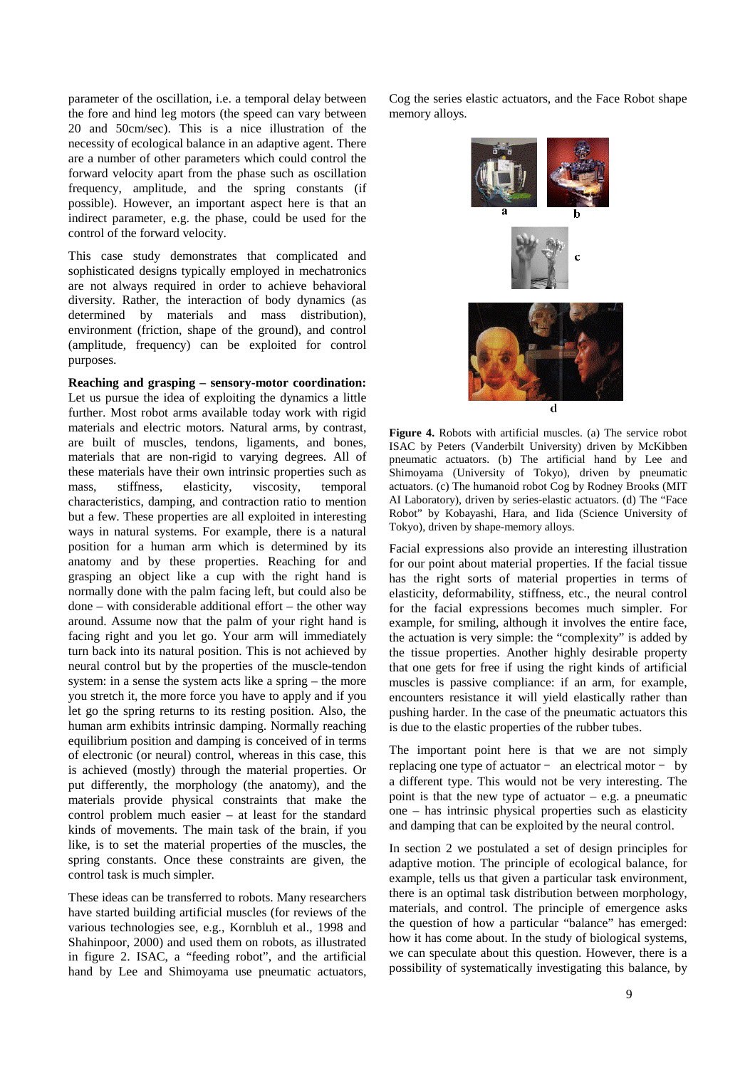parameter of the oscillation, i.e. a temporal delay between the fore and hind leg motors (the speed can vary between 20 and 50cm/sec). This is a nice illustration of the necessity of ecological balance in an adaptive agent. There are a number of other parameters which could control the forward velocity apart from the phase such as oscillation frequency, amplitude, and the spring constants (if possible). However, an important aspect here is that an indirect parameter, e.g. the phase, could be used for the control of the forward velocity.

This case study demonstrates that complicated and sophisticated designs typically employed in mechatronics are not always required in order to achieve behavioral diversity. Rather, the interaction of body dynamics (as determined by materials and mass distribution), environment (friction, shape of the ground), and control (amplitude, frequency) can be exploited for control purposes.

**Reaching and grasping – sensory-motor coordination:**  Let us pursue the idea of exploiting the dynamics a little further. Most robot arms available today work with rigid materials and electric motors. Natural arms, by contrast, are built of muscles, tendons, ligaments, and bones, materials that are non-rigid to varying degrees. All of these materials have their own intrinsic properties such as mass, stiffness, elasticity, viscosity, temporal characteristics, damping, and contraction ratio to mention but a few. These properties are all exploited in interesting ways in natural systems. For example, there is a natural position for a human arm which is determined by its anatomy and by these properties. Reaching for and grasping an object like a cup with the right hand is normally done with the palm facing left, but could also be done – with considerable additional effort – the other way around. Assume now that the palm of your right hand is facing right and you let go. Your arm will immediately turn back into its natural position. This is not achieved by neural control but by the properties of the muscle-tendon system: in a sense the system acts like a spring – the more you stretch it, the more force you have to apply and if you let go the spring returns to its resting position. Also, the human arm exhibits intrinsic damping. Normally reaching equilibrium position and damping is conceived of in terms of electronic (or neural) control, whereas in this case, this is achieved (mostly) through the material properties. Or put differently, the morphology (the anatomy), and the materials provide physical constraints that make the control problem much easier – at least for the standard kinds of movements. The main task of the brain, if you like, is to set the material properties of the muscles, the spring constants. Once these constraints are given, the control task is much simpler.

These ideas can be transferred to robots. Many researchers have started building artificial muscles (for reviews of the various technologies see, e.g., Kornbluh et al., 1998 and Shahinpoor, 2000) and used them on robots, as illustrated in figure 2. ISAC, a "feeding robot", and the artificial hand by Lee and Shimoyama use pneumatic actuators, Cog the series elastic actuators, and the Face Robot shape memory alloys.



**Figure 4.** Robots with artificial muscles. (a) The service robot ISAC by Peters (Vanderbilt University) driven by McKibben pneumatic actuators. (b) The artificial hand by Lee and Shimoyama (University of Tokyo), driven by pneumatic actuators. (c) The humanoid robot Cog by Rodney Brooks (MIT AI Laboratory), driven by series-elastic actuators. (d) The "Face Robot" by Kobayashi, Hara, and Iida (Science University of Tokyo), driven by shape-memory alloys.

Facial expressions also provide an interesting illustration for our point about material properties. If the facial tissue has the right sorts of material properties in terms of elasticity, deformability, stiffness, etc., the neural control for the facial expressions becomes much simpler. For example, for smiling, although it involves the entire face, the actuation is very simple: the "complexity" is added by the tissue properties. Another highly desirable property that one gets for free if using the right kinds of artificial muscles is passive compliance: if an arm, for example, encounters resistance it will yield elastically rather than pushing harder. In the case of the pneumatic actuators this is due to the elastic properties of the rubber tubes.

The important point here is that we are not simply replacing one type of actuator – an electrical motor – by a different type. This would not be very interesting. The point is that the new type of actuator  $-$  e.g. a pneumatic one – has intrinsic physical properties such as elasticity and damping that can be exploited by the neural control.

In section 2 we postulated a set of design principles for adaptive motion. The principle of ecological balance, for example, tells us that given a particular task environment, there is an optimal task distribution between morphology, materials, and control. The principle of emergence asks the question of how a particular "balance" has emerged: how it has come about. In the study of biological systems, we can speculate about this question. However, there is a possibility of systematically investigating this balance, by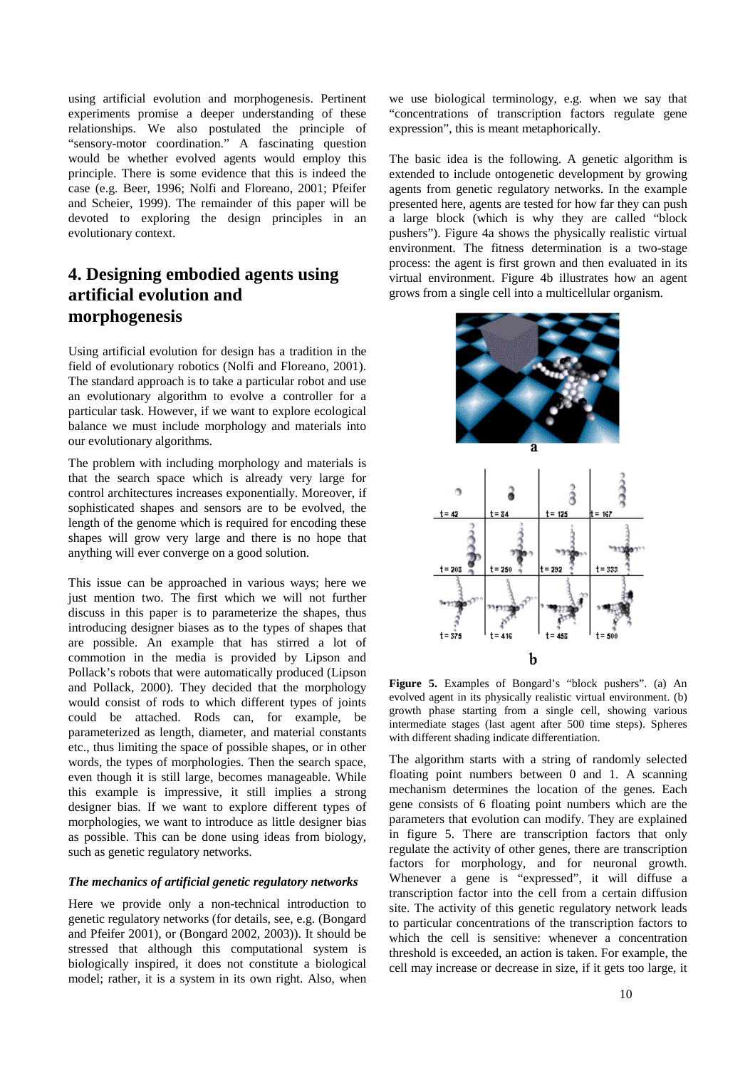using artificial evolution and morphogenesis. Pertinent experiments promise a deeper understanding of these relationships. We also postulated the principle of "sensory-motor coordination." A fascinating question would be whether evolved agents would employ this principle. There is some evidence that this is indeed the case (e.g. Beer, 1996; Nolfi and Floreano, 2001; Pfeifer and Scheier, 1999). The remainder of this paper will be devoted to exploring the design principles in an evolutionary context.

## **4. Designing embodied agents using artificial evolution and morphogenesis**

Using artificial evolution for design has a tradition in the field of evolutionary robotics (Nolfi and Floreano, 2001). The standard approach is to take a particular robot and use an evolutionary algorithm to evolve a controller for a particular task. However, if we want to explore ecological balance we must include morphology and materials into our evolutionary algorithms.

The problem with including morphology and materials is that the search space which is already very large for control architectures increases exponentially. Moreover, if sophisticated shapes and sensors are to be evolved, the length of the genome which is required for encoding these shapes will grow very large and there is no hope that anything will ever converge on a good solution.

This issue can be approached in various ways; here we just mention two. The first which we will not further discuss in this paper is to parameterize the shapes, thus introducing designer biases as to the types of shapes that are possible. An example that has stirred a lot of commotion in the media is provided by Lipson and Pollack's robots that were automatically produced (Lipson and Pollack, 2000). They decided that the morphology would consist of rods to which different types of joints could be attached. Rods can, for example, be parameterized as length, diameter, and material constants etc., thus limiting the space of possible shapes, or in other words, the types of morphologies. Then the search space, even though it is still large, becomes manageable. While this example is impressive, it still implies a strong designer bias. If we want to explore different types of morphologies, we want to introduce as little designer bias as possible. This can be done using ideas from biology, such as genetic regulatory networks.

#### *The mechanics of artificial genetic regulatory networks*

Here we provide only a non-technical introduction to genetic regulatory networks (for details, see, e.g. (Bongard and Pfeifer 2001), or (Bongard 2002, 2003)). It should be stressed that although this computational system is biologically inspired, it does not constitute a biological model; rather, it is a system in its own right. Also, when

we use biological terminology, e.g. when we say that "concentrations of transcription factors regulate gene expression", this is meant metaphorically.

The basic idea is the following. A genetic algorithm is extended to include ontogenetic development by growing agents from genetic regulatory networks. In the example presented here, agents are tested for how far they can push a large block (which is why they are called "block pushers"). Figure 4a shows the physically realistic virtual environment. The fitness determination is a two-stage process: the agent is first grown and then evaluated in its virtual environment. Figure 4b illustrates how an agent grows from a single cell into a multicellular organism.



**Figure 5.** Examples of Bongard's "block pushers". (a) An evolved agent in its physically realistic virtual environment. (b) growth phase starting from a single cell, showing various intermediate stages (last agent after 500 time steps). Spheres with different shading indicate differentiation.

The algorithm starts with a string of randomly selected floating point numbers between 0 and 1. A scanning mechanism determines the location of the genes. Each gene consists of 6 floating point numbers which are the parameters that evolution can modify. They are explained in figure 5. There are transcription factors that only regulate the activity of other genes, there are transcription factors for morphology, and for neuronal growth. Whenever a gene is "expressed", it will diffuse a transcription factor into the cell from a certain diffusion site. The activity of this genetic regulatory network leads to particular concentrations of the transcription factors to which the cell is sensitive: whenever a concentration threshold is exceeded, an action is taken. For example, the cell may increase or decrease in size, if it gets too large, it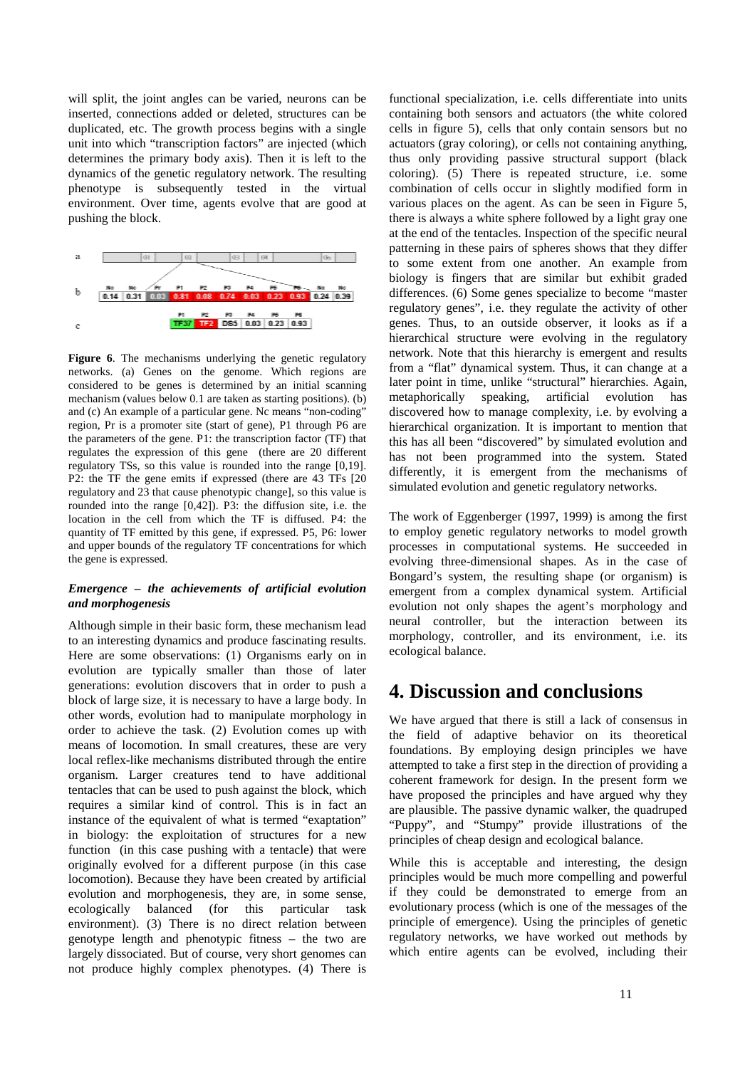will split, the joint angles can be varied, neurons can be inserted, connections added or deleted, structures can be duplicated, etc. The growth process begins with a single unit into which "transcription factors" are injected (which determines the primary body axis). Then it is left to the dynamics of the genetic regulatory network. The resulting phenotype is subsequently tested in the virtual environment. Over time, agents evolve that are good at pushing the block.



Figure 6. The mechanisms underlying the genetic regulatory networks. (a) Genes on the genome. Which regions are considered to be genes is determined by an initial scanning mechanism (values below 0.1 are taken as starting positions). (b) and (c) An example of a particular gene. Nc means "non-coding" region, Pr is a promoter site (start of gene), P1 through P6 are the parameters of the gene. P1: the transcription factor (TF) that regulates the expression of this gene (there are 20 different regulatory TSs, so this value is rounded into the range [0,19]. P2: the TF the gene emits if expressed (there are 43 TFs [20 regulatory and 23 that cause phenotypic change], so this value is rounded into the range [0,42]). P3: the diffusion site, i.e. the location in the cell from which the TF is diffused. P4: the quantity of TF emitted by this gene, if expressed. P5, P6: lower and upper bounds of the regulatory TF concentrations for which the gene is expressed.

#### *Emergence – the achievements of artificial evolution and morphogenesis*

Although simple in their basic form, these mechanism lead to an interesting dynamics and produce fascinating results. Here are some observations: (1) Organisms early on in evolution are typically smaller than those of later generations: evolution discovers that in order to push a block of large size, it is necessary to have a large body. In other words, evolution had to manipulate morphology in order to achieve the task. (2) Evolution comes up with means of locomotion. In small creatures, these are very local reflex-like mechanisms distributed through the entire organism. Larger creatures tend to have additional tentacles that can be used to push against the block, which requires a similar kind of control. This is in fact an instance of the equivalent of what is termed "exaptation" in biology: the exploitation of structures for a new function (in this case pushing with a tentacle) that were originally evolved for a different purpose (in this case locomotion). Because they have been created by artificial evolution and morphogenesis, they are, in some sense, ecologically balanced (for this particular task environment). (3) There is no direct relation between genotype length and phenotypic fitness – the two are largely dissociated. But of course, very short genomes can not produce highly complex phenotypes. (4) There is

functional specialization, i.e. cells differentiate into units containing both sensors and actuators (the white colored cells in figure 5), cells that only contain sensors but no actuators (gray coloring), or cells not containing anything, thus only providing passive structural support (black coloring). (5) There is repeated structure, i.e. some combination of cells occur in slightly modified form in various places on the agent. As can be seen in Figure 5, there is always a white sphere followed by a light gray one at the end of the tentacles. Inspection of the specific neural patterning in these pairs of spheres shows that they differ to some extent from one another. An example from biology is fingers that are similar but exhibit graded differences. (6) Some genes specialize to become "master regulatory genes", i.e. they regulate the activity of other genes. Thus, to an outside observer, it looks as if a hierarchical structure were evolving in the regulatory network. Note that this hierarchy is emergent and results from a "flat" dynamical system. Thus, it can change at a later point in time, unlike "structural" hierarchies. Again, metaphorically speaking, artificial evolution has discovered how to manage complexity, i.e. by evolving a hierarchical organization. It is important to mention that this has all been "discovered" by simulated evolution and has not been programmed into the system. Stated differently, it is emergent from the mechanisms of simulated evolution and genetic regulatory networks.

The work of Eggenberger (1997, 1999) is among the first to employ genetic regulatory networks to model growth processes in computational systems. He succeeded in evolving three-dimensional shapes. As in the case of Bongard's system, the resulting shape (or organism) is emergent from a complex dynamical system. Artificial evolution not only shapes the agent's morphology and neural controller, but the interaction between its morphology, controller, and its environment, i.e. its ecological balance.

## **4. Discussion and conclusions**

We have argued that there is still a lack of consensus in the field of adaptive behavior on its theoretical foundations. By employing design principles we have attempted to take a first step in the direction of providing a coherent framework for design. In the present form we have proposed the principles and have argued why they are plausible. The passive dynamic walker, the quadruped "Puppy", and "Stumpy" provide illustrations of the principles of cheap design and ecological balance.

While this is acceptable and interesting, the design principles would be much more compelling and powerful if they could be demonstrated to emerge from an evolutionary process (which is one of the messages of the principle of emergence). Using the principles of genetic regulatory networks, we have worked out methods by which entire agents can be evolved, including their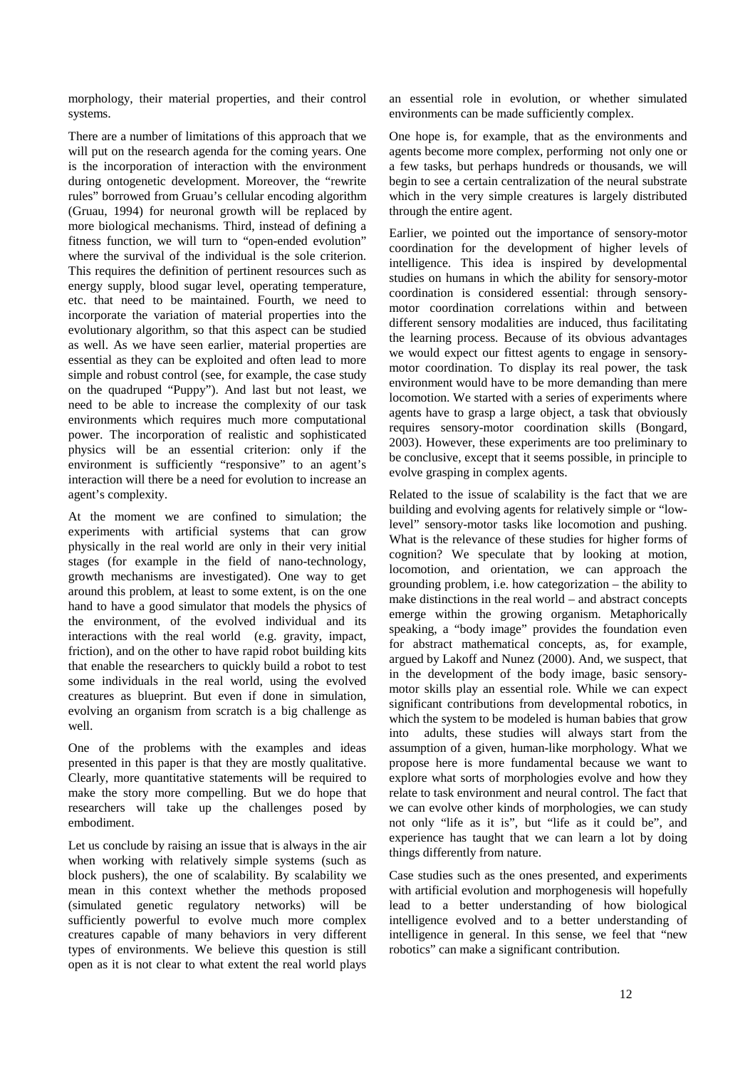morphology, their material properties, and their control systems.

There are a number of limitations of this approach that we will put on the research agenda for the coming years. One is the incorporation of interaction with the environment during ontogenetic development. Moreover, the "rewrite rules" borrowed from Gruau's cellular encoding algorithm (Gruau, 1994) for neuronal growth will be replaced by more biological mechanisms. Third, instead of defining a fitness function, we will turn to "open-ended evolution" where the survival of the individual is the sole criterion. This requires the definition of pertinent resources such as energy supply, blood sugar level, operating temperature, etc. that need to be maintained. Fourth, we need to incorporate the variation of material properties into the evolutionary algorithm, so that this aspect can be studied as well. As we have seen earlier, material properties are essential as they can be exploited and often lead to more simple and robust control (see, for example, the case study on the quadruped "Puppy"). And last but not least, we need to be able to increase the complexity of our task environments which requires much more computational power. The incorporation of realistic and sophisticated physics will be an essential criterion: only if the environment is sufficiently "responsive" to an agent's interaction will there be a need for evolution to increase an agent's complexity.

At the moment we are confined to simulation; the experiments with artificial systems that can grow physically in the real world are only in their very initial stages (for example in the field of nano-technology, growth mechanisms are investigated). One way to get around this problem, at least to some extent, is on the one hand to have a good simulator that models the physics of the environment, of the evolved individual and its interactions with the real world (e.g. gravity, impact, friction), and on the other to have rapid robot building kits that enable the researchers to quickly build a robot to test some individuals in the real world, using the evolved creatures as blueprint. But even if done in simulation, evolving an organism from scratch is a big challenge as well.

One of the problems with the examples and ideas presented in this paper is that they are mostly qualitative. Clearly, more quantitative statements will be required to make the story more compelling. But we do hope that researchers will take up the challenges posed by embodiment.

Let us conclude by raising an issue that is always in the air when working with relatively simple systems (such as block pushers), the one of scalability. By scalability we mean in this context whether the methods proposed (simulated genetic regulatory networks) will be sufficiently powerful to evolve much more complex creatures capable of many behaviors in very different types of environments. We believe this question is still open as it is not clear to what extent the real world plays an essential role in evolution, or whether simulated environments can be made sufficiently complex.

One hope is, for example, that as the environments and agents become more complex, performing not only one or a few tasks, but perhaps hundreds or thousands, we will begin to see a certain centralization of the neural substrate which in the very simple creatures is largely distributed through the entire agent.

Earlier, we pointed out the importance of sensory-motor coordination for the development of higher levels of intelligence. This idea is inspired by developmental studies on humans in which the ability for sensory-motor coordination is considered essential: through sensorymotor coordination correlations within and between different sensory modalities are induced, thus facilitating the learning process. Because of its obvious advantages we would expect our fittest agents to engage in sensorymotor coordination. To display its real power, the task environment would have to be more demanding than mere locomotion. We started with a series of experiments where agents have to grasp a large object, a task that obviously requires sensory-motor coordination skills (Bongard, 2003). However, these experiments are too preliminary to be conclusive, except that it seems possible, in principle to evolve grasping in complex agents.

Related to the issue of scalability is the fact that we are building and evolving agents for relatively simple or "lowlevel" sensory-motor tasks like locomotion and pushing. What is the relevance of these studies for higher forms of cognition? We speculate that by looking at motion, locomotion, and orientation, we can approach the grounding problem, i.e. how categorization – the ability to make distinctions in the real world – and abstract concepts emerge within the growing organism. Metaphorically speaking, a "body image" provides the foundation even for abstract mathematical concepts, as, for example, argued by Lakoff and Nunez (2000). And, we suspect, that in the development of the body image, basic sensorymotor skills play an essential role. While we can expect significant contributions from developmental robotics, in which the system to be modeled is human babies that grow into adults, these studies will always start from the assumption of a given, human-like morphology. What we propose here is more fundamental because we want to explore what sorts of morphologies evolve and how they relate to task environment and neural control. The fact that we can evolve other kinds of morphologies, we can study not only "life as it is", but "life as it could be", and experience has taught that we can learn a lot by doing things differently from nature.

Case studies such as the ones presented, and experiments with artificial evolution and morphogenesis will hopefully lead to a better understanding of how biological intelligence evolved and to a better understanding of intelligence in general. In this sense, we feel that "new robotics" can make a significant contribution.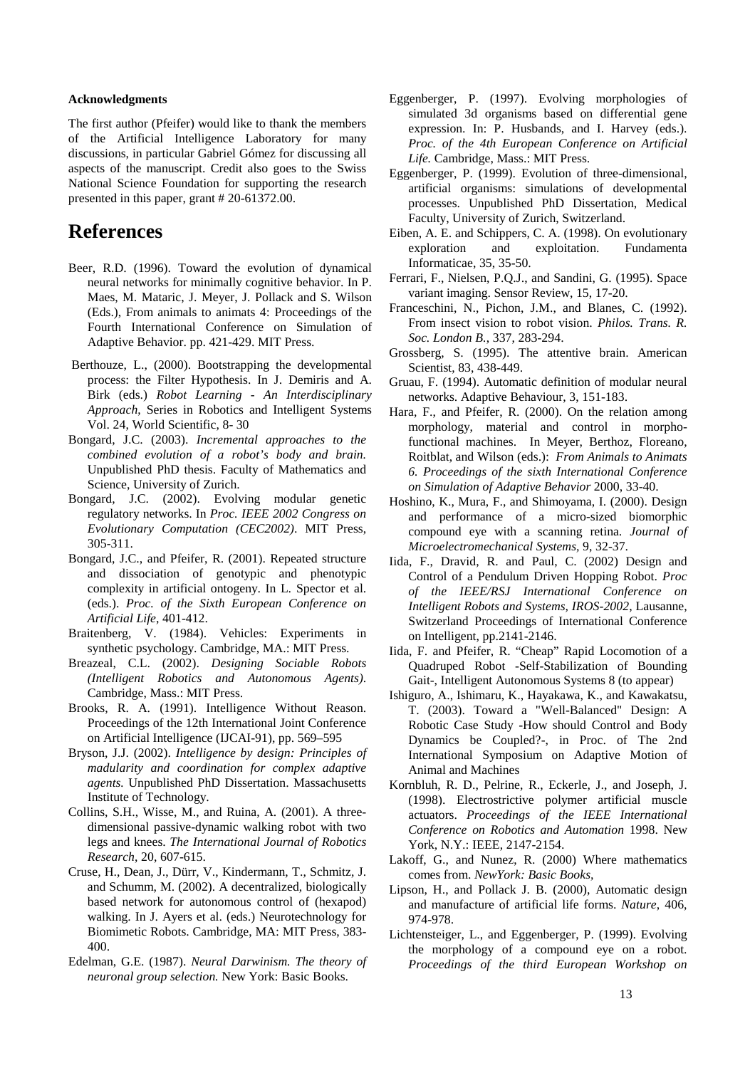#### **Acknowledgments**

The first author (Pfeifer) would like to thank the members of the Artificial Intelligence Laboratory for many discussions, in particular Gabriel Gómez for discussing all aspects of the manuscript. Credit also goes to the Swiss National Science Foundation for supporting the research presented in this paper, grant # 20-61372.00.

## **References**

- Beer, R.D. (1996). Toward the evolution of dynamical neural networks for minimally cognitive behavior. In P. Maes, M. Mataric, J. Meyer, J. Pollack and S. Wilson (Eds.), From animals to animats 4: Proceedings of the Fourth International Conference on Simulation of Adaptive Behavior. pp. 421-429. MIT Press.
- Berthouze, L., (2000). Bootstrapping the developmental process: the Filter Hypothesis. In J. Demiris and A. Birk (eds.) *Robot Learning - An Interdisciplinary Approach*, Series in Robotics and Intelligent Systems Vol. 24, World Scientific, 8- 30
- Bongard, J.C. (2003). *Incremental approaches to the combined evolution of a robot's body and brain.*  Unpublished PhD thesis. Faculty of Mathematics and Science, University of Zurich.
- Bongard, J.C. (2002). Evolving modular genetic regulatory networks. In *Proc. IEEE 2002 Congress on Evolutionary Computation (CEC2002)*. MIT Press, 305-311.
- Bongard, J.C., and Pfeifer, R. (2001). Repeated structure and dissociation of genotypic and phenotypic complexity in artificial ontogeny. In L. Spector et al. (eds.). *Proc. of the Sixth European Conference on Artificial Life*, 401-412.
- Braitenberg, V. (1984). Vehicles: Experiments in synthetic psychology. Cambridge, MA.: MIT Press.
- Breazeal, C.L. (2002). *Designing Sociable Robots (Intelligent Robotics and Autonomous Agents)*. Cambridge, Mass.: MIT Press.
- Brooks, R. A. (1991). Intelligence Without Reason. Proceedings of the 12th International Joint Conference on Artificial Intelligence (IJCAI-91), pp. 569–595
- Bryson, J.J. (2002). *Intelligence by design: Principles of madularity and coordination for complex adaptive agents.* Unpublished PhD Dissertation. Massachusetts Institute of Technology.
- Collins, S.H., Wisse, M., and Ruina, A. (2001). A threedimensional passive-dynamic walking robot with two legs and knees. *The International Journal of Robotics Research*, 20, 607-615.
- Cruse, H., Dean, J., Dürr, V., Kindermann, T., Schmitz, J. and Schumm, M. (2002). A decentralized, biologically based network for autonomous control of (hexapod) walking. In J. Ayers et al. (eds.) Neurotechnology for Biomimetic Robots. Cambridge, MA: MIT Press, 383- 400.
- Edelman, G.E. (1987). *Neural Darwinism. The theory of neuronal group selection.* New York: Basic Books.
- Eggenberger, P. (1997). Evolving morphologies of simulated 3d organisms based on differential gene expression. In: P. Husbands, and I. Harvey (eds.). *Proc. of the 4th European Conference on Artificial Life.* Cambridge, Mass.: MIT Press.
- Eggenberger, P. (1999). Evolution of three-dimensional, artificial organisms: simulations of developmental processes. Unpublished PhD Dissertation, Medical Faculty, University of Zurich, Switzerland.
- Eiben, A. E. and Schippers, C. A. (1998). On evolutionary exploration and exploitation. Fundamenta Informaticae, 35, 35-50.
- Ferrari, F., Nielsen, P.Q.J., and Sandini, G. (1995). Space variant imaging. Sensor Review, 15, 17-20.
- Franceschini, N., Pichon, J.M., and Blanes, C. (1992). From insect vision to robot vision. *Philos. Trans. R. Soc. London B.*, 337, 283-294.
- Grossberg, S. (1995). The attentive brain. American Scientist, 83, 438-449.
- Gruau, F. (1994). Automatic definition of modular neural networks. Adaptive Behaviour, 3, 151-183.
- Hara, F., and Pfeifer, R. (2000). On the relation among morphology, material and control in morphofunctional machines. In Meyer, Berthoz, Floreano, Roitblat, and Wilson (eds.): *From Animals to Animats 6. Proceedings of the sixth International Conference on Simulation of Adaptive Behavior* 2000, 33-40.
- Hoshino, K., Mura, F., and Shimoyama, I. (2000). Design and performance of a micro-sized biomorphic compound eye with a scanning retina. *Journal of Microelectromechanical Systems,* 9, 32-37.
- Iida, F., Dravid, R. and Paul, C. (2002) Design and Control of a Pendulum Driven Hopping Robot. *Proc of the IEEE/RSJ International Conference on Intelligent Robots and Systems, IROS-2002*, Lausanne, Switzerland Proceedings of International Conference on Intelligent, pp.2141-2146.
- Iida, F. and Pfeifer, R. "Cheap" Rapid Locomotion of a Quadruped Robot -Self-Stabilization of Bounding Gait-, Intelligent Autonomous Systems 8 (to appear)
- Ishiguro, A., Ishimaru, K., Hayakawa, K., and Kawakatsu, T. (2003). Toward a "Well-Balanced" Design: A Robotic Case Study -How should Control and Body Dynamics be Coupled?-, in Proc. of The 2nd International Symposium on Adaptive Motion of Animal and Machines
- Kornbluh, R. D., Pelrine, R., Eckerle, J., and Joseph, J. (1998). Electrostrictive polymer artificial muscle actuators. *Proceedings of the IEEE International Conference on Robotics and Automation* 1998. New York, N.Y.: IEEE, 2147-2154.
- Lakoff, G., and Nunez, R. (2000) Where mathematics comes from. *NewYork: Basic Books,*
- Lipson, H., and Pollack J. B. (2000), Automatic design and manufacture of artificial life forms. *Nature*, 406, 974-978.
- Lichtensteiger, L., and Eggenberger, P. (1999). Evolving the morphology of a compound eye on a robot. *Proceedings of the third European Workshop on*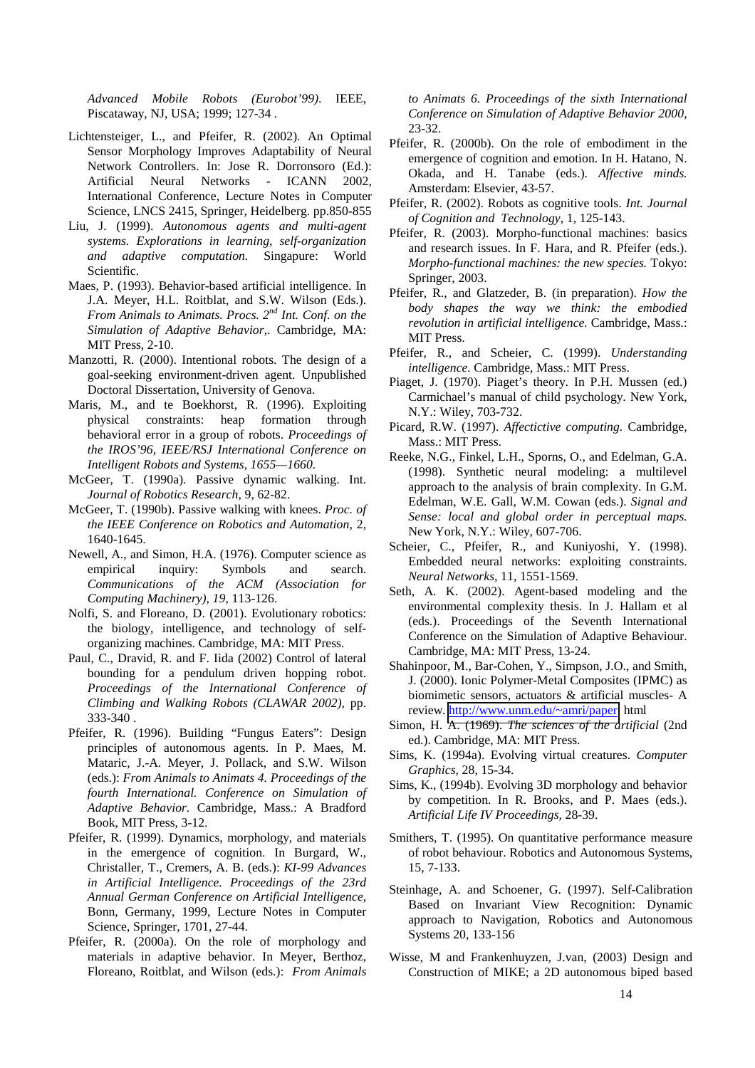*Advanced Mobile Robots (Eurobot'99)*. IEEE, Piscataway, NJ, USA; 1999; 127-34 *.*

- Lichtensteiger, L., and Pfeifer, R. (2002). An Optimal Sensor Morphology Improves Adaptability of Neural Network Controllers. In: Jose R. Dorronsoro (Ed.): Artificial Neural Networks - ICANN 2002, International Conference, Lecture Notes in Computer Science, LNCS 2415, Springer, Heidelberg. pp.850-855
- Liu, J. (1999). *Autonomous agents and multi-agent systems. Explorations in learning, self-organization and adaptive computation.* Singapure: World Scientific.
- Maes, P. (1993). Behavior-based artificial intelligence. In J.A. Meyer, H.L. Roitblat, and S.W. Wilson (Eds.). *From Animals to Animats. Procs. 2nd Int. Conf. on the Simulation of Adaptive Behavior,*. Cambridge, MA: MIT Press, 2-10.
- Manzotti, R. (2000). Intentional robots. The design of a goal-seeking environment-driven agent. Unpublished Doctoral Dissertation, University of Genova.
- Maris, M., and te Boekhorst, R. (1996). Exploiting physical constraints: heap formation through behavioral error in a group of robots. *Proceedings of the IROS'96, IEEE/RSJ International Conference on Intelligent Robots and Systems, 1655—1660.*
- McGeer, T. (1990a). Passive dynamic walking. Int. *Journal of Robotics Research*, 9, 62-82.
- McGeer, T. (1990b). Passive walking with knees. *Proc. of the IEEE Conference on Robotics and Automation*, 2, 1640-1645.
- Newell, A., and Simon, H.A. (1976). Computer science as empirical inquiry: Symbols and search. *Communications of the ACM (Association for Computing Machinery), 19,* 113-126.
- Nolfi, S. and Floreano, D. (2001). Evolutionary robotics: the biology, intelligence, and technology of selforganizing machines. Cambridge, MA: MIT Press.
- Paul, C., Dravid, R. and F. Iida (2002) Control of lateral bounding for a pendulum driven hopping robot. *Proceedings of the International Conference of Climbing and Walking Robots (CLAWAR 2002),* pp. 333-340 .
- Pfeifer, R. (1996). Building "Fungus Eaters": Design principles of autonomous agents. In P. Maes, M. Mataric, J.-A. Meyer, J. Pollack, and S.W. Wilson (eds.): *From Animals to Animats 4. Proceedings of the fourth International. Conference on Simulation of Adaptive Behavior.* Cambridge, Mass.: A Bradford Book, MIT Press, 3-12.
- Pfeifer, R. (1999). Dynamics, morphology, and materials in the emergence of cognition. In Burgard, W., Christaller, T., Cremers, A. B. (eds.): *KI-99 Advances in Artificial Intelligence. Proceedings of the 23rd Annual German Conference on Artificial Intelligence*, Bonn, Germany, 1999, Lecture Notes in Computer Science, Springer, 1701, 27-44.
- Pfeifer, R. (2000a). On the role of morphology and materials in adaptive behavior. In Meyer, Berthoz, Floreano, Roitblat, and Wilson (eds.): *From Animals*

*to Animats 6. Proceedings of the sixth International Conference on Simulation of Adaptive Behavior 2000*, 23-32.

- Pfeifer, R. (2000b). On the role of embodiment in the emergence of cognition and emotion. In H. Hatano, N. Okada, and H. Tanabe (eds.). *Affective minds.*  Amsterdam: Elsevier, 43-57.
- Pfeifer, R. (2002). Robots as cognitive tools. *Int. Journal of Cognition and Technology*, 1, 125-143.
- Pfeifer, R. (2003). Morpho-functional machines: basics and research issues. In F. Hara, and R. Pfeifer (eds.). *Morpho-functional machines: the new species.* Tokyo: Springer, 2003.
- Pfeifer, R., and Glatzeder, B. (in preparation). *How the body shapes the way we think: the embodied revolution in artificial intelligence.* Cambridge, Mass.: MIT Press.
- Pfeifer, R., and Scheier, C. (1999). *Understanding intelligence.* Cambridge, Mass.: MIT Press.
- Piaget, J. (1970). Piaget's theory. In P.H. Mussen (ed.) Carmichael's manual of child psychology. New York, N.Y.: Wiley, 703-732.
- Picard, R.W. (1997). *Affectictive computing.* Cambridge, Mass.: MIT Press.
- Reeke, N.G., Finkel, L.H., Sporns, O., and Edelman, G.A. (1998). Synthetic neural modeling: a multilevel approach to the analysis of brain complexity. In G.M. Edelman, W.E. Gall, W.M. Cowan (eds.). *Signal and Sense: local and global order in perceptual maps.*  New York, N.Y.: Wiley, 607-706.
- Scheier, C., Pfeifer, R., and Kuniyoshi, Y. (1998). Embedded neural networks: exploiting constraints. *Neural Networks*, 11, 1551-1569.
- Seth, A. K. (2002). Agent-based modeling and the environmental complexity thesis. In J. Hallam et al (eds.). Proceedings of the Seventh International Conference on the Simulation of Adaptive Behaviour. Cambridge, MA: MIT Press, 13-24.
- Shahinpoor, M., Bar-Cohen, Y., Simpson, J.O., and Smith, J. (2000). Ionic Polymer-Metal Composites (IPMC) as biomimetic sensors, actuators & artificial muscles- A review. [http://www.unm.edu/~amri/paper.](http://www.unm.edu/~amri/paper) html
- Simon, H. A. (1969). *The sciences of the artificial* (2nd ed.). Cambridge, MA: MIT Press.
- Sims, K. (1994a). Evolving virtual creatures. *Computer Graphics,* 28, 15-34.
- Sims, K., (1994b). Evolving 3D morphology and behavior by competition. In R. Brooks, and P. Maes (eds.). *Artificial Life IV Proceedings,* 28-39.
- Smithers, T. (1995). On quantitative performance measure of robot behaviour. Robotics and Autonomous Systems, 15, 7-133.
- Steinhage, A. and Schoener, G. (1997). Self-Calibration Based on Invariant View Recognition: Dynamic approach to Navigation, Robotics and Autonomous Systems 20, 133-156
- Wisse, M and Frankenhuyzen, J.van, (2003) Design and Construction of MIKE; a 2D autonomous biped based